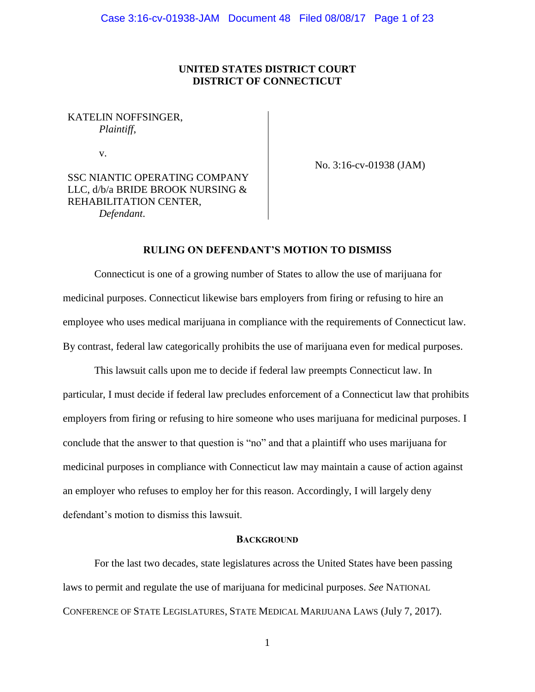# **UNITED STATES DISTRICT COURT DISTRICT OF CONNECTICUT**

# KATELIN NOFFSINGER, *Plaintiff*,

v.

No. 3:16-cv-01938 (JAM)

SSC NIANTIC OPERATING COMPANY LLC, d/b/a BRIDE BROOK NURSING & REHABILITATION CENTER, *Defendant*.

# **RULING ON DEFENDANT'S MOTION TO DISMISS**

Connecticut is one of a growing number of States to allow the use of marijuana for medicinal purposes. Connecticut likewise bars employers from firing or refusing to hire an employee who uses medical marijuana in compliance with the requirements of Connecticut law. By contrast, federal law categorically prohibits the use of marijuana even for medical purposes.

This lawsuit calls upon me to decide if federal law preempts Connecticut law. In particular, I must decide if federal law precludes enforcement of a Connecticut law that prohibits employers from firing or refusing to hire someone who uses marijuana for medicinal purposes. I conclude that the answer to that question is "no" and that a plaintiff who uses marijuana for medicinal purposes in compliance with Connecticut law may maintain a cause of action against an employer who refuses to employ her for this reason. Accordingly, I will largely deny defendant's motion to dismiss this lawsuit.

# **BACKGROUND**

For the last two decades, state legislatures across the United States have been passing laws to permit and regulate the use of marijuana for medicinal purposes. *See* NATIONAL CONFERENCE OF STATE LEGISLATURES, STATE MEDICAL MARIJUANA LAWS (July 7, 2017).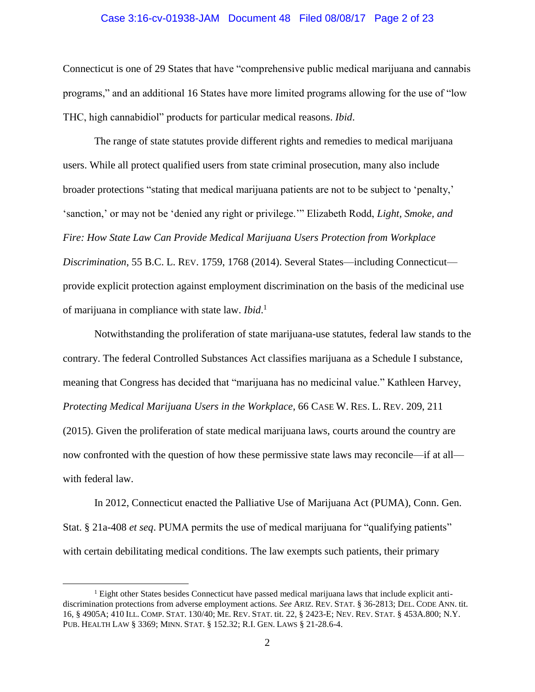#### Case 3:16-cv-01938-JAM Document 48 Filed 08/08/17 Page 2 of 23

Connecticut is one of 29 States that have "comprehensive public medical marijuana and cannabis programs," and an additional 16 States have more limited programs allowing for the use of "low THC, high cannabidiol" products for particular medical reasons. *Ibid*.

The range of state statutes provide different rights and remedies to medical marijuana users. While all protect qualified users from state criminal prosecution, many also include broader protections "stating that medical marijuana patients are not to be subject to 'penalty,' 'sanction,' or may not be 'denied any right or privilege.'" Elizabeth Rodd, *Light, Smoke, and Fire: How State Law Can Provide Medical Marijuana Users Protection from Workplace Discrimination*, 55 B.C. L. REV. 1759, 1768 (2014). Several States—including Connecticut provide explicit protection against employment discrimination on the basis of the medicinal use of marijuana in compliance with state law. *Ibid*. 1

Notwithstanding the proliferation of state marijuana-use statutes, federal law stands to the contrary. The federal Controlled Substances Act classifies marijuana as a Schedule I substance, meaning that Congress has decided that "marijuana has no medicinal value." Kathleen Harvey, *Protecting Medical Marijuana Users in the Workplace*, 66 CASE W. RES. L. REV. 209, 211 (2015). Given the proliferation of state medical marijuana laws, courts around the country are now confronted with the question of how these permissive state laws may reconcile—if at all with federal law.

In 2012, Connecticut enacted the Palliative Use of Marijuana Act (PUMA), Conn. Gen. Stat. § 21a-408 *et seq*. PUMA permits the use of medical marijuana for "qualifying patients" with certain debilitating medical conditions. The law exempts such patients, their primary

<sup>1</sup> Eight other States besides Connecticut have passed medical marijuana laws that include explicit antidiscrimination protections from adverse employment actions. *See* ARIZ. REV. STAT. § 36-2813; DEL. CODE ANN. tit. 16, § 4905A; 410 ILL. COMP. STAT. 130/40; ME. REV. STAT. tit. 22, § 2423-E; NEV. REV. STAT. § 453A.800; N.Y. PUB. HEALTH LAW § 3369; MINN. STAT. § 152.32; R.I. GEN. LAWS § 21-28.6-4.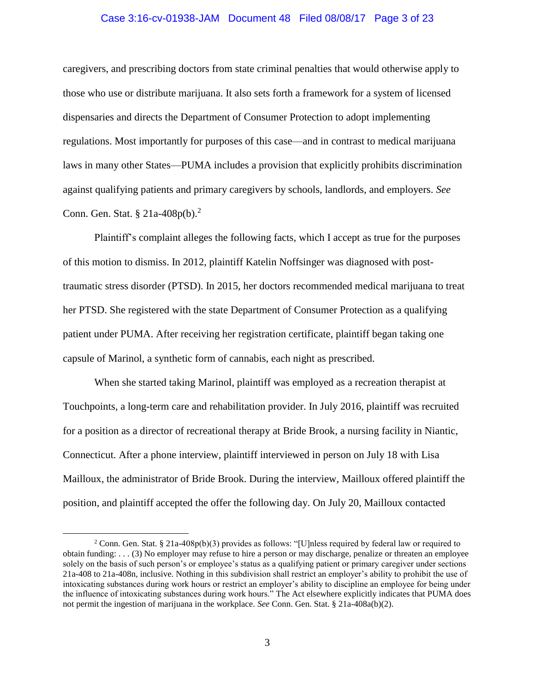#### Case 3:16-cv-01938-JAM Document 48 Filed 08/08/17 Page 3 of 23

caregivers, and prescribing doctors from state criminal penalties that would otherwise apply to those who use or distribute marijuana. It also sets forth a framework for a system of licensed dispensaries and directs the Department of Consumer Protection to adopt implementing regulations. Most importantly for purposes of this case—and in contrast to medical marijuana laws in many other States—PUMA includes a provision that explicitly prohibits discrimination against qualifying patients and primary caregivers by schools, landlords, and employers. *See*  Conn. Gen. Stat. § 21a-408p(b).<sup>2</sup>

Plaintiff's complaint alleges the following facts, which I accept as true for the purposes of this motion to dismiss. In 2012, plaintiff Katelin Noffsinger was diagnosed with posttraumatic stress disorder (PTSD). In 2015, her doctors recommended medical marijuana to treat her PTSD. She registered with the state Department of Consumer Protection as a qualifying patient under PUMA. After receiving her registration certificate, plaintiff began taking one capsule of Marinol, a synthetic form of cannabis, each night as prescribed.

When she started taking Marinol, plaintiff was employed as a recreation therapist at Touchpoints, a long-term care and rehabilitation provider. In July 2016, plaintiff was recruited for a position as a director of recreational therapy at Bride Brook, a nursing facility in Niantic, Connecticut. After a phone interview, plaintiff interviewed in person on July 18 with Lisa Mailloux, the administrator of Bride Brook. During the interview, Mailloux offered plaintiff the position, and plaintiff accepted the offer the following day. On July 20, Mailloux contacted

<sup>&</sup>lt;sup>2</sup> Conn. Gen. Stat. § 21a-408p(b)(3) provides as follows: "[U]nless required by federal law or required to obtain funding: . . . (3) No employer may refuse to hire a person or may discharge, penalize or threaten an employee solely on the basis of such person's or employee's status as a qualifying patient or primary caregiver under sections 21a-408 to 21a-408n, inclusive. Nothing in this subdivision shall restrict an employer's ability to prohibit the use of intoxicating substances during work hours or restrict an employer's ability to discipline an employee for being under the influence of intoxicating substances during work hours." The Act elsewhere explicitly indicates that PUMA does not permit the ingestion of marijuana in the workplace. *See* Conn. Gen. Stat. § 21a-408a(b)(2).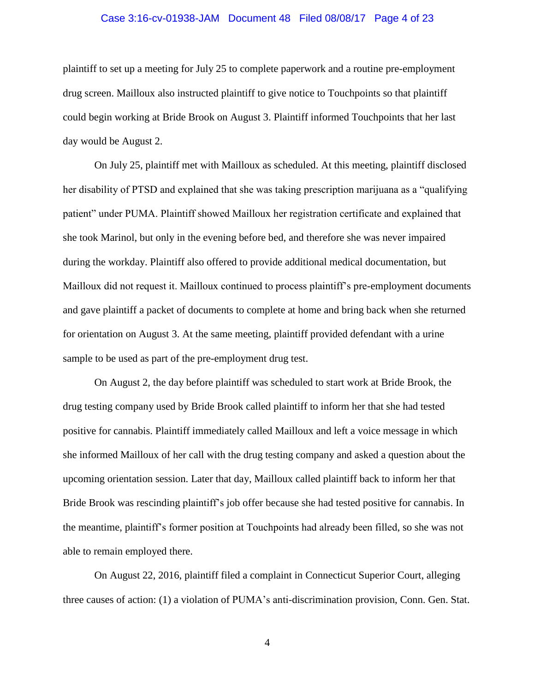#### Case 3:16-cv-01938-JAM Document 48 Filed 08/08/17 Page 4 of 23

plaintiff to set up a meeting for July 25 to complete paperwork and a routine pre-employment drug screen. Mailloux also instructed plaintiff to give notice to Touchpoints so that plaintiff could begin working at Bride Brook on August 3. Plaintiff informed Touchpoints that her last day would be August 2.

On July 25, plaintiff met with Mailloux as scheduled. At this meeting, plaintiff disclosed her disability of PTSD and explained that she was taking prescription marijuana as a "qualifying patient" under PUMA. Plaintiff showed Mailloux her registration certificate and explained that she took Marinol, but only in the evening before bed, and therefore she was never impaired during the workday. Plaintiff also offered to provide additional medical documentation, but Mailloux did not request it. Mailloux continued to process plaintiff's pre-employment documents and gave plaintiff a packet of documents to complete at home and bring back when she returned for orientation on August 3. At the same meeting, plaintiff provided defendant with a urine sample to be used as part of the pre-employment drug test.

On August 2, the day before plaintiff was scheduled to start work at Bride Brook, the drug testing company used by Bride Brook called plaintiff to inform her that she had tested positive for cannabis. Plaintiff immediately called Mailloux and left a voice message in which she informed Mailloux of her call with the drug testing company and asked a question about the upcoming orientation session. Later that day, Mailloux called plaintiff back to inform her that Bride Brook was rescinding plaintiff's job offer because she had tested positive for cannabis. In the meantime, plaintiff's former position at Touchpoints had already been filled, so she was not able to remain employed there.

On August 22, 2016, plaintiff filed a complaint in Connecticut Superior Court, alleging three causes of action: (1) a violation of PUMA's anti-discrimination provision, Conn. Gen. Stat.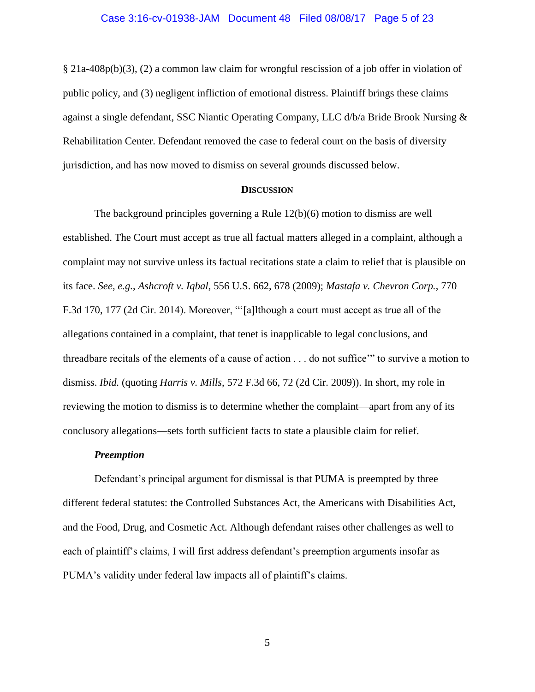#### Case 3:16-cv-01938-JAM Document 48 Filed 08/08/17 Page 5 of 23

§ 21a-408p(b)(3), (2) a common law claim for wrongful rescission of a job offer in violation of public policy, and (3) negligent infliction of emotional distress. Plaintiff brings these claims against a single defendant, SSC Niantic Operating Company, LLC d/b/a Bride Brook Nursing & Rehabilitation Center. Defendant removed the case to federal court on the basis of diversity jurisdiction, and has now moved to dismiss on several grounds discussed below.

#### **DISCUSSION**

The background principles governing a Rule 12(b)(6) motion to dismiss are well established. The Court must accept as true all factual matters alleged in a complaint, although a complaint may not survive unless its factual recitations state a claim to relief that is plausible on its face. *See, e.g.*, *Ashcroft v. Iqbal*, 556 U.S. 662, 678 (2009); *Mastafa v. Chevron Corp.*, 770 F.3d 170, 177 (2d Cir. 2014). Moreover, "'[a]lthough a court must accept as true all of the allegations contained in a complaint, that tenet is inapplicable to legal conclusions, and threadbare recitals of the elements of a cause of action . . . do not suffice'" to survive a motion to dismiss. *Ibid.* (quoting *Harris v. Mills*, 572 F.3d 66, 72 (2d Cir. 2009)). In short, my role in reviewing the motion to dismiss is to determine whether the complaint—apart from any of its conclusory allegations—sets forth sufficient facts to state a plausible claim for relief.

#### *Preemption*

Defendant's principal argument for dismissal is that PUMA is preempted by three different federal statutes: the Controlled Substances Act, the Americans with Disabilities Act, and the Food, Drug, and Cosmetic Act. Although defendant raises other challenges as well to each of plaintiff's claims, I will first address defendant's preemption arguments insofar as PUMA's validity under federal law impacts all of plaintiff's claims.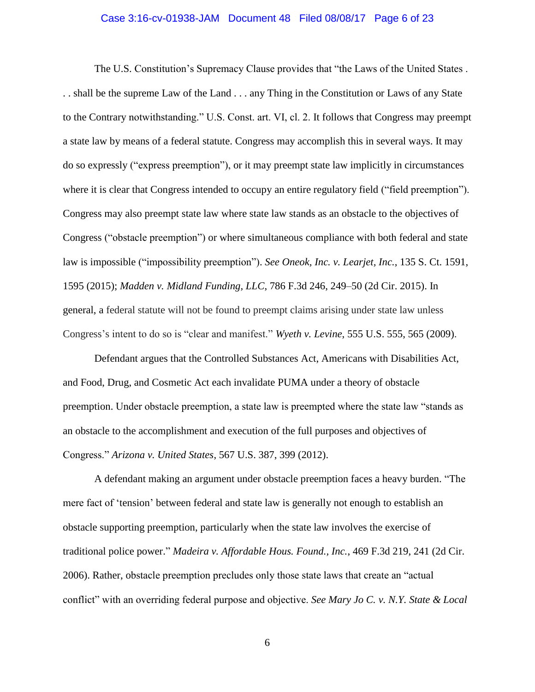#### Case 3:16-cv-01938-JAM Document 48 Filed 08/08/17 Page 6 of 23

The U.S. Constitution's Supremacy Clause provides that "the Laws of the United States . . . shall be the supreme Law of the Land . . . any Thing in the Constitution or Laws of any State to the Contrary notwithstanding." U.S. Const. art. VI, cl. 2. It follows that Congress may preempt a state law by means of a federal statute. Congress may accomplish this in several ways. It may do so expressly ("express preemption"), or it may preempt state law implicitly in circumstances where it is clear that Congress intended to occupy an entire regulatory field ("field preemption"). Congress may also preempt state law where state law stands as an obstacle to the objectives of Congress ("obstacle preemption") or where simultaneous compliance with both federal and state law is impossible ("impossibility preemption"). *See Oneok, Inc. v. Learjet, Inc.*, 135 S. Ct. 1591, 1595 (2015); *Madden v. Midland Funding, LLC*, 786 F.3d 246, 249–50 (2d Cir. 2015). In general, a federal statute will not be found to preempt claims arising under state law unless Congress's intent to do so is "clear and manifest." *Wyeth v. Levine*, 555 U.S. 555, 565 (2009).

Defendant argues that the Controlled Substances Act, Americans with Disabilities Act, and Food, Drug, and Cosmetic Act each invalidate PUMA under a theory of obstacle preemption. Under obstacle preemption, a state law is preempted where the state law "stands as an obstacle to the accomplishment and execution of the full purposes and objectives of Congress." *Arizona v. United States*, 567 U.S. 387, 399 (2012).

A defendant making an argument under obstacle preemption faces a heavy burden. "The mere fact of 'tension' between federal and state law is generally not enough to establish an obstacle supporting preemption, particularly when the state law involves the exercise of traditional police power." *Madeira v. Affordable Hous. Found., Inc.*, 469 F.3d 219, 241 (2d Cir. 2006). Rather, obstacle preemption precludes only those state laws that create an "actual conflict" with an overriding federal purpose and objective. *See Mary Jo C. v. N.Y. State & Local*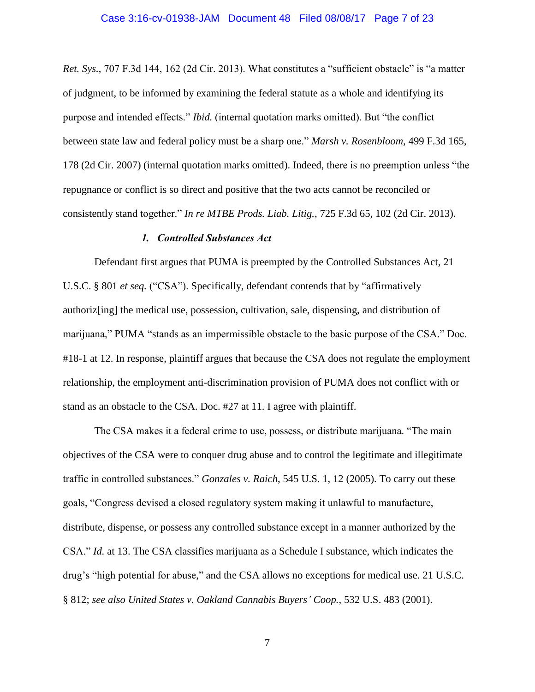#### Case 3:16-cv-01938-JAM Document 48 Filed 08/08/17 Page 7 of 23

*Ret. Sys.*, 707 F.3d 144, 162 (2d Cir. 2013). What constitutes a "sufficient obstacle" is "a matter of judgment, to be informed by examining the federal statute as a whole and identifying its purpose and intended effects." *Ibid.* (internal quotation marks omitted). But "the conflict between state law and federal policy must be a sharp one." *Marsh v. Rosenbloom*, 499 F.3d 165, 178 (2d Cir. 2007) (internal quotation marks omitted). Indeed, there is no preemption unless "the repugnance or conflict is so direct and positive that the two acts cannot be reconciled or consistently stand together." *In re MTBE Prods. Liab. Litig.*, 725 F.3d 65, 102 (2d Cir. 2013).

#### *1. Controlled Substances Act*

Defendant first argues that PUMA is preempted by the Controlled Substances Act, 21 U.S.C. § 801 *et seq.* ("CSA"). Specifically, defendant contends that by "affirmatively authoriz[ing] the medical use, possession, cultivation, sale, dispensing, and distribution of marijuana," PUMA "stands as an impermissible obstacle to the basic purpose of the CSA." Doc. #18-1 at 12. In response, plaintiff argues that because the CSA does not regulate the employment relationship, the employment anti-discrimination provision of PUMA does not conflict with or stand as an obstacle to the CSA. Doc. #27 at 11. I agree with plaintiff.

The CSA makes it a federal crime to use, possess, or distribute marijuana. "The main objectives of the CSA were to conquer drug abuse and to control the legitimate and illegitimate traffic in controlled substances." *Gonzales v. Raich*, 545 U.S. 1, 12 (2005). To carry out these goals, "Congress devised a closed regulatory system making it unlawful to manufacture, distribute, dispense, or possess any controlled substance except in a manner authorized by the CSA." *Id.* at 13. The CSA classifies marijuana as a Schedule I substance, which indicates the drug's "high potential for abuse," and the CSA allows no exceptions for medical use. 21 U.S.C. § 812; *see also United States v. Oakland Cannabis Buyers' Coop.*, 532 U.S. 483 (2001).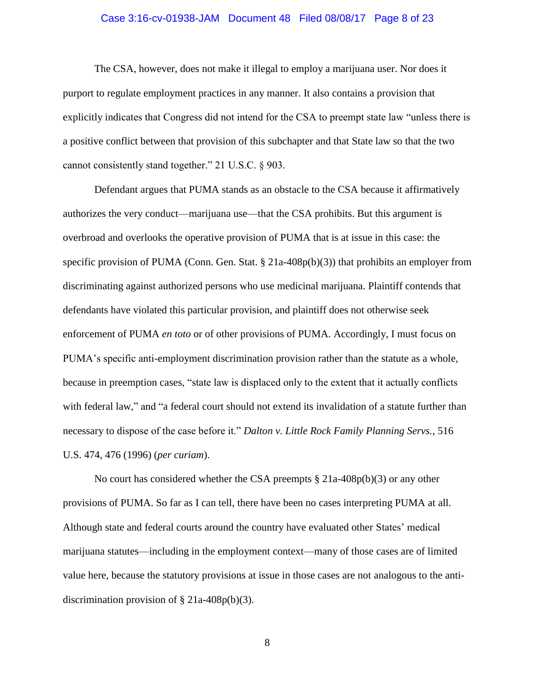#### Case 3:16-cv-01938-JAM Document 48 Filed 08/08/17 Page 8 of 23

The CSA, however, does not make it illegal to employ a marijuana user. Nor does it purport to regulate employment practices in any manner. It also contains a provision that explicitly indicates that Congress did not intend for the CSA to preempt state law "unless there is a positive conflict between that provision of this subchapter and that State law so that the two cannot consistently stand together." 21 U.S.C. § 903.

Defendant argues that PUMA stands as an obstacle to the CSA because it affirmatively authorizes the very conduct—marijuana use—that the CSA prohibits. But this argument is overbroad and overlooks the operative provision of PUMA that is at issue in this case: the specific provision of PUMA (Conn. Gen. Stat. § 21a-408p(b)(3)) that prohibits an employer from discriminating against authorized persons who use medicinal marijuana. Plaintiff contends that defendants have violated this particular provision, and plaintiff does not otherwise seek enforcement of PUMA *en toto* or of other provisions of PUMA. Accordingly, I must focus on PUMA's specific anti-employment discrimination provision rather than the statute as a whole, because in preemption cases, "state law is displaced only to the extent that it actually conflicts with federal law," and "a federal court should not extend its invalidation of a statute further than necessary to dispose of the case before it." *Dalton v. Little Rock Family Planning Servs.*, 516 U.S. 474, 476 (1996) (*per curiam*).

No court has considered whether the CSA preempts § 21a-408p(b)(3) or any other provisions of PUMA. So far as I can tell, there have been no cases interpreting PUMA at all. Although state and federal courts around the country have evaluated other States' medical marijuana statutes—including in the employment context—many of those cases are of limited value here, because the statutory provisions at issue in those cases are not analogous to the antidiscrimination provision of § 21a-408p(b)(3).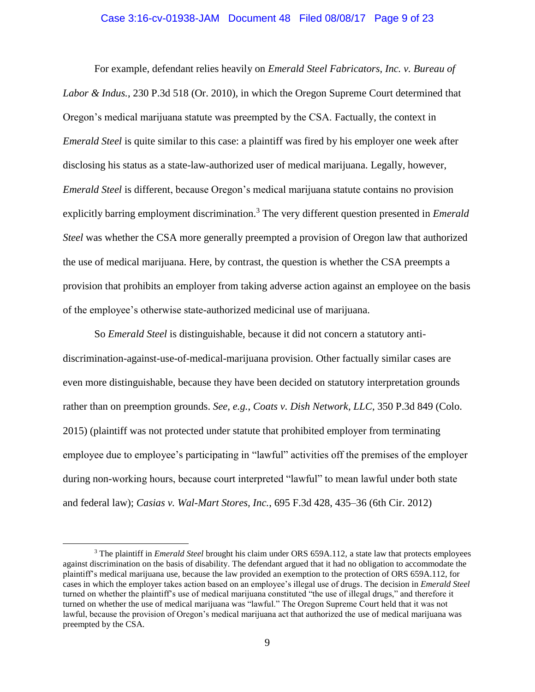#### Case 3:16-cv-01938-JAM Document 48 Filed 08/08/17 Page 9 of 23

For example, defendant relies heavily on *Emerald Steel Fabricators, Inc. v. Bureau of Labor & Indus.*, 230 P.3d 518 (Or. 2010), in which the Oregon Supreme Court determined that Oregon's medical marijuana statute was preempted by the CSA. Factually, the context in *Emerald Steel* is quite similar to this case: a plaintiff was fired by his employer one week after disclosing his status as a state-law-authorized user of medical marijuana. Legally, however, *Emerald Steel* is different, because Oregon's medical marijuana statute contains no provision explicitly barring employment discrimination.<sup>3</sup> The very different question presented in *Emerald Steel* was whether the CSA more generally preempted a provision of Oregon law that authorized the use of medical marijuana. Here, by contrast, the question is whether the CSA preempts a provision that prohibits an employer from taking adverse action against an employee on the basis of the employee's otherwise state-authorized medicinal use of marijuana.

So *Emerald Steel* is distinguishable, because it did not concern a statutory antidiscrimination-against-use-of-medical-marijuana provision. Other factually similar cases are even more distinguishable, because they have been decided on statutory interpretation grounds rather than on preemption grounds. *See, e.g.*, *Coats v. Dish Network, LLC*, 350 P.3d 849 (Colo. 2015) (plaintiff was not protected under statute that prohibited employer from terminating employee due to employee's participating in "lawful" activities off the premises of the employer during non-working hours, because court interpreted "lawful" to mean lawful under both state and federal law); *Casias v. Wal-Mart Stores, Inc.*, 695 F.3d 428, 435–36 (6th Cir. 2012)

<sup>3</sup> The plaintiff in *Emerald Steel* brought his claim under ORS 659A.112, a state law that protects employees against discrimination on the basis of disability. The defendant argued that it had no obligation to accommodate the plaintiff's medical marijuana use, because the law provided an exemption to the protection of ORS 659A.112, for cases in which the employer takes action based on an employee's illegal use of drugs. The decision in *Emerald Steel* turned on whether the plaintiff's use of medical marijuana constituted "the use of illegal drugs," and therefore it turned on whether the use of medical marijuana was "lawful." The Oregon Supreme Court held that it was not lawful, because the provision of Oregon's medical marijuana act that authorized the use of medical marijuana was preempted by the CSA.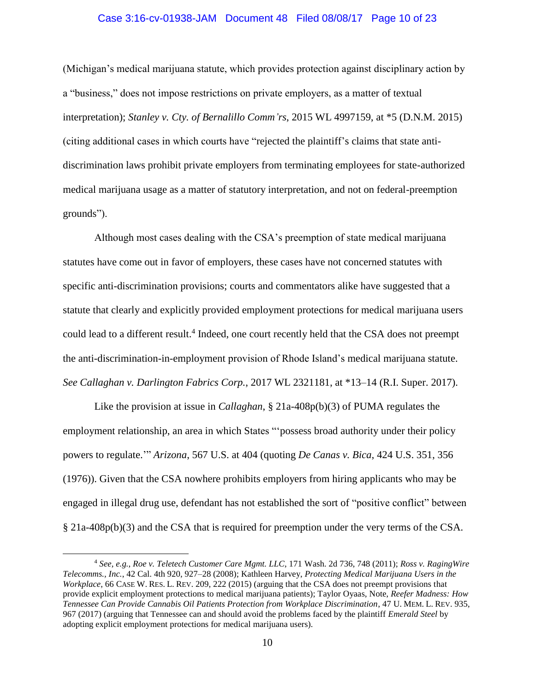### Case 3:16-cv-01938-JAM Document 48 Filed 08/08/17 Page 10 of 23

(Michigan's medical marijuana statute, which provides protection against disciplinary action by a "business," does not impose restrictions on private employers, as a matter of textual interpretation); *Stanley v. Cty. of Bernalillo Comm'rs*, 2015 WL 4997159, at \*5 (D.N.M. 2015) (citing additional cases in which courts have "rejected the plaintiff's claims that state antidiscrimination laws prohibit private employers from terminating employees for state-authorized medical marijuana usage as a matter of statutory interpretation, and not on federal-preemption grounds").

Although most cases dealing with the CSA's preemption of state medical marijuana statutes have come out in favor of employers, these cases have not concerned statutes with specific anti-discrimination provisions; courts and commentators alike have suggested that a statute that clearly and explicitly provided employment protections for medical marijuana users could lead to a different result.<sup>4</sup> Indeed, one court recently held that the CSA does not preempt the anti-discrimination-in-employment provision of Rhode Island's medical marijuana statute. *See Callaghan v. Darlington Fabrics Corp.*, 2017 WL 2321181, at \*13–14 (R.I. Super. 2017).

Like the provision at issue in *Callaghan*, § 21a-408p(b)(3) of PUMA regulates the employment relationship, an area in which States "'possess broad authority under their policy powers to regulate.'" *Arizona*, 567 U.S. at 404 (quoting *De Canas v. Bica*, 424 U.S. 351, 356 (1976)). Given that the CSA nowhere prohibits employers from hiring applicants who may be engaged in illegal drug use, defendant has not established the sort of "positive conflict" between § 21a-408p(b)(3) and the CSA that is required for preemption under the very terms of the CSA.

<sup>4</sup> *See, e.g.*, *Roe v. Teletech Customer Care Mgmt. LLC*, 171 Wash. 2d 736, 748 (2011); *Ross v. RagingWire Telecomms., Inc.*, 42 Cal. 4th 920, 927–28 (2008); Kathleen Harvey, *Protecting Medical Marijuana Users in the Workplace*, 66 CASE W. RES. L. REV. 209, 222 (2015) (arguing that the CSA does not preempt provisions that provide explicit employment protections to medical marijuana patients); Taylor Oyaas, Note, *Reefer Madness: How Tennessee Can Provide Cannabis Oil Patients Protection from Workplace Discrimination*, 47 U. MEM. L. REV. 935, 967 (2017) (arguing that Tennessee can and should avoid the problems faced by the plaintiff *Emerald Steel* by adopting explicit employment protections for medical marijuana users).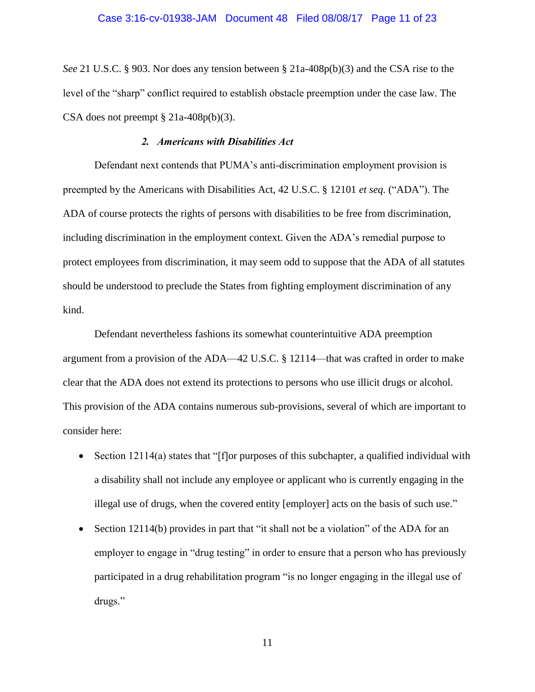#### Case 3:16-cv-01938-JAM Document 48 Filed 08/08/17 Page 11 of 23

*See* 21 U.S.C. § 903. Nor does any tension between § 21a-408p(b)(3) and the CSA rise to the level of the "sharp" conflict required to establish obstacle preemption under the case law. The CSA does not preempt  $\S 21a-408p(b)(3)$ .

## *2. Americans with Disabilities Act*

Defendant next contends that PUMA's anti-discrimination employment provision is preempted by the Americans with Disabilities Act, 42 U.S.C. § 12101 *et seq.* ("ADA"). The ADA of course protects the rights of persons with disabilities to be free from discrimination, including discrimination in the employment context. Given the ADA's remedial purpose to protect employees from discrimination, it may seem odd to suppose that the ADA of all statutes should be understood to preclude the States from fighting employment discrimination of any kind.

Defendant nevertheless fashions its somewhat counterintuitive ADA preemption argument from a provision of the ADA—42 U.S.C. § 12114—that was crafted in order to make clear that the ADA does not extend its protections to persons who use illicit drugs or alcohol. This provision of the ADA contains numerous sub-provisions, several of which are important to consider here:

- Section 12114(a) states that "[f]or purposes of this subchapter, a qualified individual with a disability shall not include any employee or applicant who is currently engaging in the illegal use of drugs, when the covered entity [employer] acts on the basis of such use."
- Section 12114(b) provides in part that "it shall not be a violation" of the ADA for an employer to engage in "drug testing" in order to ensure that a person who has previously participated in a drug rehabilitation program "is no longer engaging in the illegal use of drugs."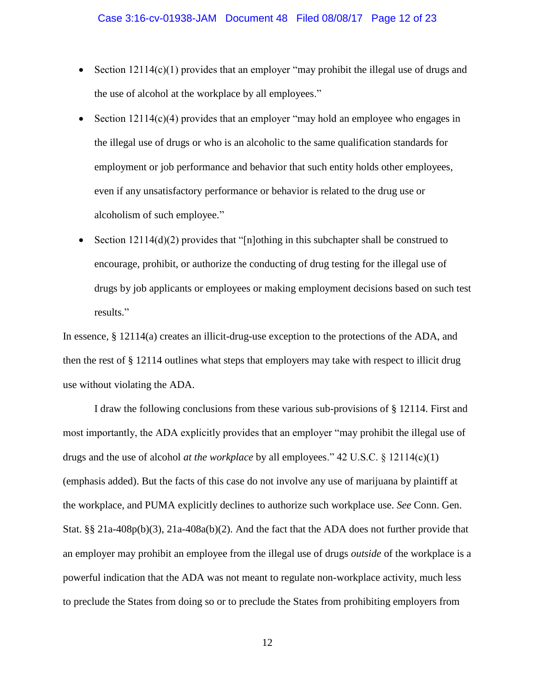- Section  $12114(c)(1)$  provides that an employer "may prohibit the illegal use of drugs and the use of alcohol at the workplace by all employees."
- Section 12114(c)(4) provides that an employer "may hold an employee who engages in the illegal use of drugs or who is an alcoholic to the same qualification standards for employment or job performance and behavior that such entity holds other employees, even if any unsatisfactory performance or behavior is related to the drug use or alcoholism of such employee."
- Section  $12114(d)(2)$  provides that "[n]othing in this subchapter shall be construed to encourage, prohibit, or authorize the conducting of drug testing for the illegal use of drugs by job applicants or employees or making employment decisions based on such test results."

In essence, § 12114(a) creates an illicit-drug-use exception to the protections of the ADA, and then the rest of § 12114 outlines what steps that employers may take with respect to illicit drug use without violating the ADA.

I draw the following conclusions from these various sub-provisions of § 12114. First and most importantly, the ADA explicitly provides that an employer "may prohibit the illegal use of drugs and the use of alcohol *at the workplace* by all employees." 42 U.S.C. § 12114(c)(1) (emphasis added). But the facts of this case do not involve any use of marijuana by plaintiff at the workplace, and PUMA explicitly declines to authorize such workplace use. *See* Conn. Gen. Stat. §§ 21a-408p(b)(3), 21a-408a(b)(2). And the fact that the ADA does not further provide that an employer may prohibit an employee from the illegal use of drugs *outside* of the workplace is a powerful indication that the ADA was not meant to regulate non-workplace activity, much less to preclude the States from doing so or to preclude the States from prohibiting employers from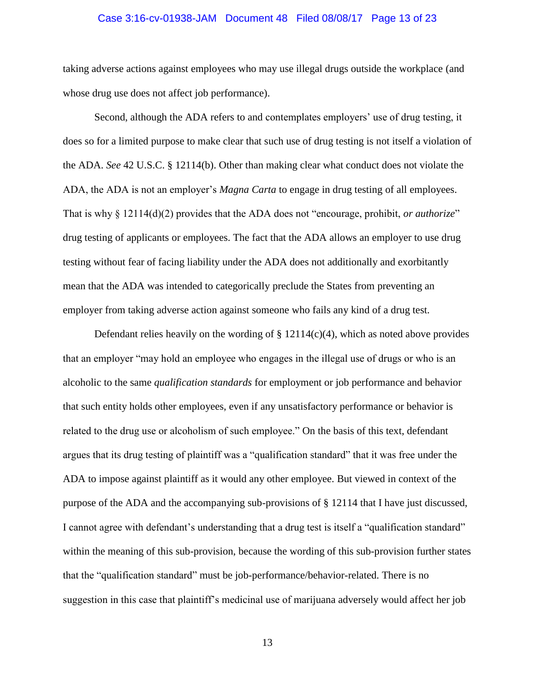#### Case 3:16-cv-01938-JAM Document 48 Filed 08/08/17 Page 13 of 23

taking adverse actions against employees who may use illegal drugs outside the workplace (and whose drug use does not affect job performance).

Second, although the ADA refers to and contemplates employers' use of drug testing, it does so for a limited purpose to make clear that such use of drug testing is not itself a violation of the ADA. *See* 42 U.S.C. § 12114(b). Other than making clear what conduct does not violate the ADA, the ADA is not an employer's *Magna Carta* to engage in drug testing of all employees. That is why § 12114(d)(2) provides that the ADA does not "encourage, prohibit, *or authorize*" drug testing of applicants or employees. The fact that the ADA allows an employer to use drug testing without fear of facing liability under the ADA does not additionally and exorbitantly mean that the ADA was intended to categorically preclude the States from preventing an employer from taking adverse action against someone who fails any kind of a drug test.

Defendant relies heavily on the wording of  $\S 12114(c)(4)$ , which as noted above provides that an employer "may hold an employee who engages in the illegal use of drugs or who is an alcoholic to the same *qualification standards* for employment or job performance and behavior that such entity holds other employees, even if any unsatisfactory performance or behavior is related to the drug use or alcoholism of such employee." On the basis of this text, defendant argues that its drug testing of plaintiff was a "qualification standard" that it was free under the ADA to impose against plaintiff as it would any other employee. But viewed in context of the purpose of the ADA and the accompanying sub-provisions of § 12114 that I have just discussed, I cannot agree with defendant's understanding that a drug test is itself a "qualification standard" within the meaning of this sub-provision, because the wording of this sub-provision further states that the "qualification standard" must be job-performance/behavior-related. There is no suggestion in this case that plaintiff's medicinal use of marijuana adversely would affect her job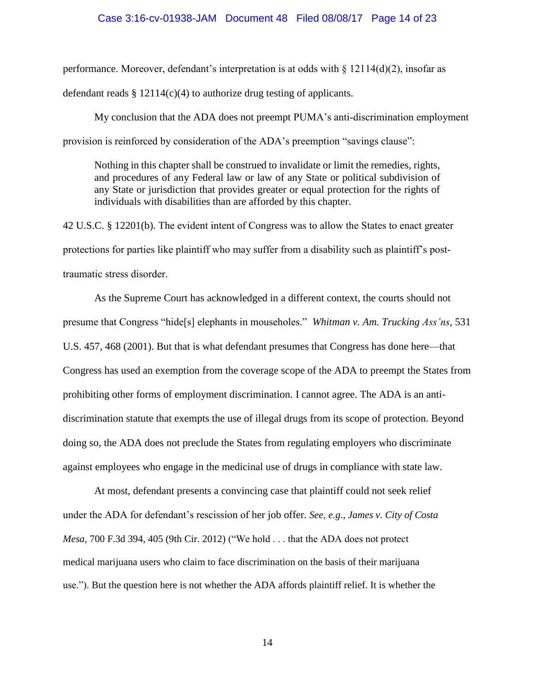### Case 3:16-cv-01938-JAM Document 48 Filed 08/08/17 Page 14 of 23

performance. Moreover, defendant's interpretation is at odds with  $\S$  12114(d)(2), insofar as

defendant reads  $\S 12114(c)(4)$  to authorize drug testing of applicants.

My conclusion that the ADA does not preempt PUMA's anti-discrimination employment provision is reinforced by consideration of the ADA's preemption "savings clause":

Nothing in this chapter shall be construed to invalidate or limit the remedies, rights, and procedures of any Federal law or law of any State or political subdivision of any State or jurisdiction that provides greater or equal protection for the rights of individuals with disabilities than are afforded by this chapter.

42 U.S.C. § 12201(b). The evident intent of Congress was to allow the States to enact greater protections for parties like plaintiff who may suffer from a disability such as plaintiff's posttraumatic stress disorder.

As the Supreme Court has acknowledged in a different context, the courts should not presume that Congress "hide[s] elephants in mouseholes." *Whitman v. Am. Trucking Ass'ns*, 531 U.S. 457, 468 (2001). But that is what defendant presumes that Congress has done here—that Congress has used an exemption from the coverage scope of the ADA to preempt the States from prohibiting other forms of employment discrimination. I cannot agree. The ADA is an antidiscrimination statute that exempts the use of illegal drugs from its scope of protection. Beyond doing so, the ADA does not preclude the States from regulating employers who discriminate against employees who engage in the medicinal use of drugs in compliance with state law.

At most, defendant presents a convincing case that plaintiff could not seek relief under the ADA for defendant's rescission of her job offer. *See, e.g.*, *James v. City of Costa Mesa*, 700 F.3d 394, 405 (9th Cir. 2012) ("We hold . . . that the ADA does not protect medical marijuana users who claim to face discrimination on the basis of their marijuana use."). But the question here is not whether the ADA affords plaintiff relief. It is whether the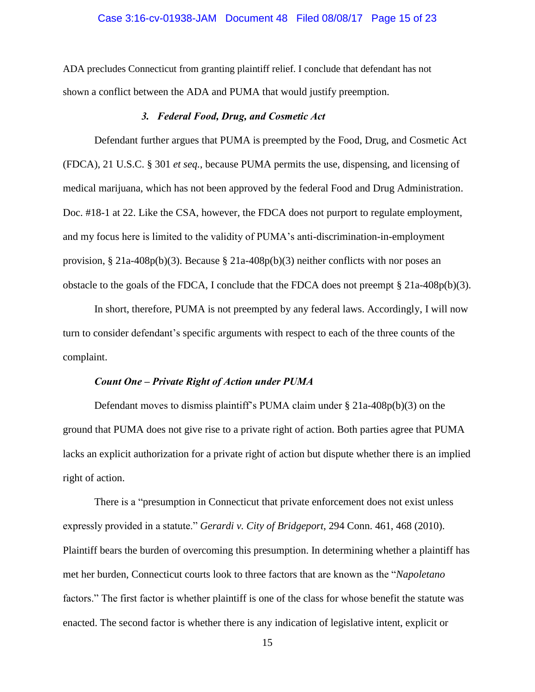#### Case 3:16-cv-01938-JAM Document 48 Filed 08/08/17 Page 15 of 23

ADA precludes Connecticut from granting plaintiff relief. I conclude that defendant has not shown a conflict between the ADA and PUMA that would justify preemption.

# *3. Federal Food, Drug, and Cosmetic Act*

Defendant further argues that PUMA is preempted by the Food, Drug, and Cosmetic Act (FDCA), 21 U.S.C. § 301 *et seq.*, because PUMA permits the use, dispensing, and licensing of medical marijuana, which has not been approved by the federal Food and Drug Administration. Doc. #18-1 at 22. Like the CSA, however, the FDCA does not purport to regulate employment, and my focus here is limited to the validity of PUMA's anti-discrimination-in-employment provision, § 21a-408p(b)(3). Because § 21a-408p(b)(3) neither conflicts with nor poses an obstacle to the goals of the FDCA, I conclude that the FDCA does not preempt § 21a-408p(b)(3).

In short, therefore, PUMA is not preempted by any federal laws. Accordingly, I will now turn to consider defendant's specific arguments with respect to each of the three counts of the complaint.

## *Count One – Private Right of Action under PUMA*

Defendant moves to dismiss plaintiff's PUMA claim under § 21a-408p(b)(3) on the ground that PUMA does not give rise to a private right of action. Both parties agree that PUMA lacks an explicit authorization for a private right of action but dispute whether there is an implied right of action.

There is a "presumption in Connecticut that private enforcement does not exist unless expressly provided in a statute." *Gerardi v. City of Bridgeport*, 294 Conn. 461, 468 (2010). Plaintiff bears the burden of overcoming this presumption. In determining whether a plaintiff has met her burden, Connecticut courts look to three factors that are known as the "*Napoletano* factors." The first factor is whether plaintiff is one of the class for whose benefit the statute was enacted. The second factor is whether there is any indication of legislative intent, explicit or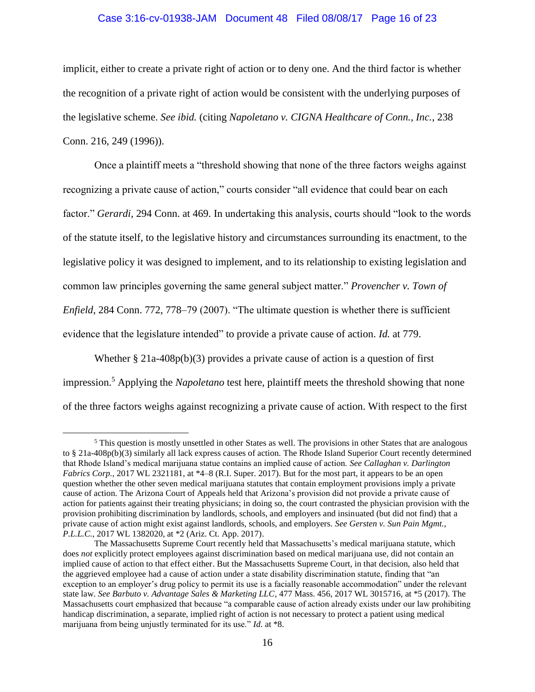### Case 3:16-cv-01938-JAM Document 48 Filed 08/08/17 Page 16 of 23

implicit, either to create a private right of action or to deny one. And the third factor is whether the recognition of a private right of action would be consistent with the underlying purposes of the legislative scheme. *See ibid.* (citing *Napoletano v. CIGNA Healthcare of Conn., Inc.*, 238 Conn. 216, 249 (1996)).

Once a plaintiff meets a "threshold showing that none of the three factors weighs against recognizing a private cause of action," courts consider "all evidence that could bear on each factor." *Gerardi*, 294 Conn. at 469. In undertaking this analysis, courts should "look to the words of the statute itself, to the legislative history and circumstances surrounding its enactment, to the legislative policy it was designed to implement, and to its relationship to existing legislation and common law principles governing the same general subject matter." *Provencher v. Town of Enfield*, 284 Conn. 772, 778–79 (2007). "The ultimate question is whether there is sufficient evidence that the legislature intended" to provide a private cause of action. *Id.* at 779.

Whether  $\S 21a-408p(b)(3)$  provides a private cause of action is a question of first impression.<sup>5</sup> Applying the *Napoletano* test here, plaintiff meets the threshold showing that none of the three factors weighs against recognizing a private cause of action. With respect to the first

<sup>5</sup> This question is mostly unsettled in other States as well. The provisions in other States that are analogous to § 21a-408p(b)(3) similarly all lack express causes of action. The Rhode Island Superior Court recently determined that Rhode Island's medical marijuana statue contains an implied cause of action. *See Callaghan v. Darlington Fabrics Corp.*, 2017 WL 2321181, at \*4–8 (R.I. Super. 2017). But for the most part, it appears to be an open question whether the other seven medical marijuana statutes that contain employment provisions imply a private cause of action. The Arizona Court of Appeals held that Arizona's provision did not provide a private cause of action for patients against their treating physicians; in doing so, the court contrasted the physician provision with the provision prohibiting discrimination by landlords, schools, and employers and insinuated (but did not find) that a private cause of action might exist against landlords, schools, and employers. *See Gersten v. Sun Pain Mgmt., P.L.L.C.*, 2017 WL 1382020, at \*2 (Ariz. Ct. App. 2017).

The Massachusetts Supreme Court recently held that Massachusetts's medical marijuana statute, which does *not* explicitly protect employees against discrimination based on medical marijuana use, did not contain an implied cause of action to that effect either. But the Massachusetts Supreme Court, in that decision, also held that the aggrieved employee had a cause of action under a state disability discrimination statute, finding that "an exception to an employer's drug policy to permit its use is a facially reasonable accommodation" under the relevant state law. *See Barbuto v. Advantage Sales & Marketing LLC*, 477 Mass. 456, 2017 WL 3015716, at \*5 (2017). The Massachusetts court emphasized that because "a comparable cause of action already exists under our law prohibiting handicap discrimination, a separate, implied right of action is not necessary to protect a patient using medical marijuana from being unjustly terminated for its use." *Id.* at \*8.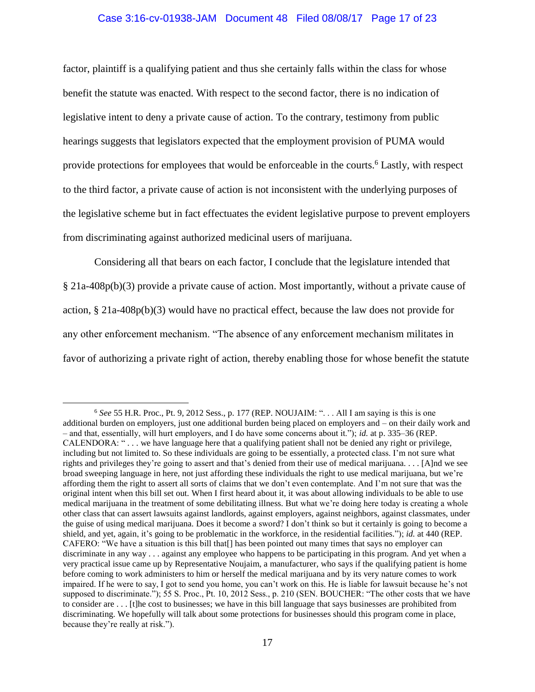### Case 3:16-cv-01938-JAM Document 48 Filed 08/08/17 Page 17 of 23

factor, plaintiff is a qualifying patient and thus she certainly falls within the class for whose benefit the statute was enacted. With respect to the second factor, there is no indication of legislative intent to deny a private cause of action. To the contrary, testimony from public hearings suggests that legislators expected that the employment provision of PUMA would provide protections for employees that would be enforceable in the courts.<sup>6</sup> Lastly, with respect to the third factor, a private cause of action is not inconsistent with the underlying purposes of the legislative scheme but in fact effectuates the evident legislative purpose to prevent employers from discriminating against authorized medicinal users of marijuana.

Considering all that bears on each factor, I conclude that the legislature intended that § 21a-408p(b)(3) provide a private cause of action. Most importantly, without a private cause of action, § 21a-408p(b)(3) would have no practical effect, because the law does not provide for any other enforcement mechanism. "The absence of any enforcement mechanism militates in favor of authorizing a private right of action, thereby enabling those for whose benefit the statute

<sup>6</sup> *See* 55 H.R. Proc., Pt. 9, 2012 Sess., p. 177 (REP. NOUJAIM: ". . . All I am saying is this is one additional burden on employers, just one additional burden being placed on employers and – on their daily work and – and that, essentially, will hurt employers, and I do have some concerns about it."); *id.* at p. 335–36 (REP. CALENDORA: " . . . we have language here that a qualifying patient shall not be denied any right or privilege, including but not limited to. So these individuals are going to be essentially, a protected class. I'm not sure what rights and privileges they're going to assert and that's denied from their use of medical marijuana. . . . [A]nd we see broad sweeping language in here, not just affording these individuals the right to use medical marijuana, but we're affording them the right to assert all sorts of claims that we don't even contemplate. And I'm not sure that was the original intent when this bill set out. When I first heard about it, it was about allowing individuals to be able to use medical marijuana in the treatment of some debilitating illness. But what we're doing here today is creating a whole other class that can assert lawsuits against landlords, against employers, against neighbors, against classmates, under the guise of using medical marijuana. Does it become a sword? I don't think so but it certainly is going to become a shield, and yet, again, it's going to be problematic in the workforce, in the residential facilities."); *id.* at 440 (REP. CAFERO: "We have a situation is this bill that[] has been pointed out many times that says no employer can discriminate in any way . . . against any employee who happens to be participating in this program. And yet when a very practical issue came up by Representative Noujaim, a manufacturer, who says if the qualifying patient is home before coming to work administers to him or herself the medical marijuana and by its very nature comes to work impaired. If he were to say, I got to send you home, you can't work on this. He is liable for lawsuit because he's not supposed to discriminate."); 55 S. Proc., Pt. 10, 2012 Sess., p. 210 (SEN. BOUCHER: "The other costs that we have to consider are . . . [t]he cost to businesses; we have in this bill language that says businesses are prohibited from discriminating. We hopefully will talk about some protections for businesses should this program come in place, because they're really at risk.").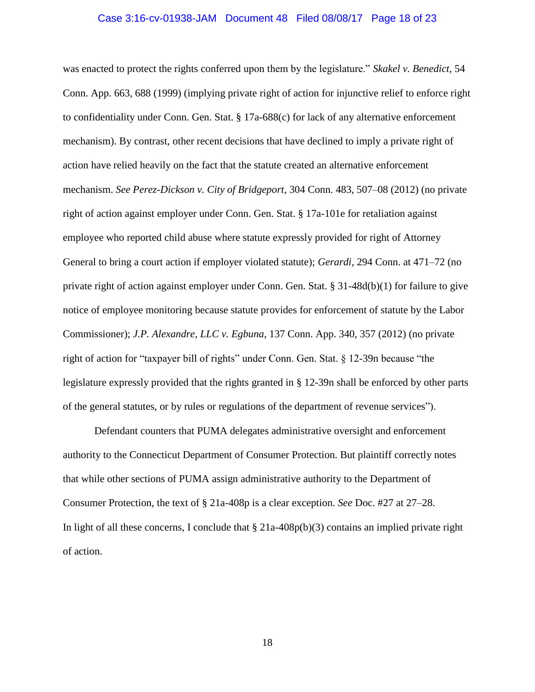#### Case 3:16-cv-01938-JAM Document 48 Filed 08/08/17 Page 18 of 23

was enacted to protect the rights conferred upon them by the legislature." *Skakel v. Benedict*, 54 Conn. App. 663, 688 (1999) (implying private right of action for injunctive relief to enforce right to confidentiality under Conn. Gen. Stat. § 17a-688(c) for lack of any alternative enforcement mechanism). By contrast, other recent decisions that have declined to imply a private right of action have relied heavily on the fact that the statute created an alternative enforcement mechanism. *See Perez-Dickson v. City of Bridgeport*, 304 Conn. 483, 507–08 (2012) (no private right of action against employer under Conn. Gen. Stat. § 17a-101e for retaliation against employee who reported child abuse where statute expressly provided for right of Attorney General to bring a court action if employer violated statute); *Gerardi*, 294 Conn. at 471–72 (no private right of action against employer under Conn. Gen. Stat. § 31-48d(b)(1) for failure to give notice of employee monitoring because statute provides for enforcement of statute by the Labor Commissioner); *J.P. Alexandre, LLC v. Egbuna*, 137 Conn. App. 340, 357 (2012) (no private right of action for "taxpayer bill of rights" under Conn. Gen. Stat. § 12-39n because "the legislature expressly provided that the rights granted in § 12-39n shall be enforced by other parts of the general statutes, or by rules or regulations of the department of revenue services").

Defendant counters that PUMA delegates administrative oversight and enforcement authority to the Connecticut Department of Consumer Protection. But plaintiff correctly notes that while other sections of PUMA assign administrative authority to the Department of Consumer Protection, the text of § 21a-408p is a clear exception. *See* Doc. #27 at 27–28. In light of all these concerns, I conclude that  $\S 21a-408p(b)(3)$  contains an implied private right of action.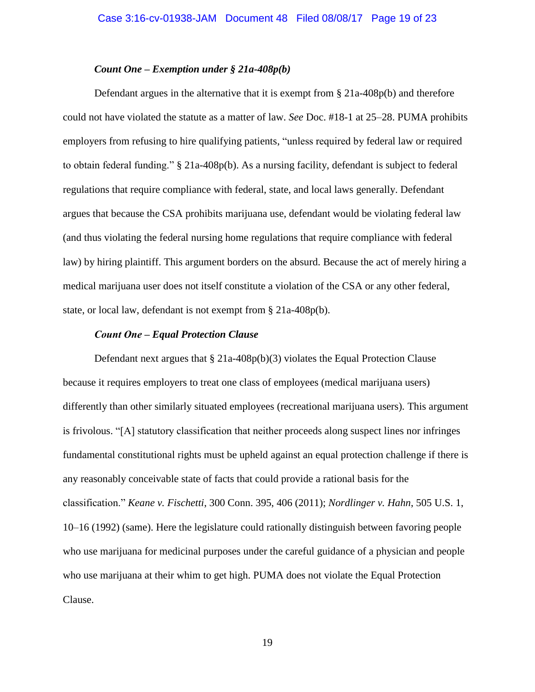### *Count One – Exemption under § 21a-408p(b)*

Defendant argues in the alternative that it is exempt from  $\S 21a-408p(b)$  and therefore could not have violated the statute as a matter of law. *See* Doc. #18-1 at 25–28. PUMA prohibits employers from refusing to hire qualifying patients, "unless required by federal law or required to obtain federal funding." § 21a-408p(b). As a nursing facility, defendant is subject to federal regulations that require compliance with federal, state, and local laws generally. Defendant argues that because the CSA prohibits marijuana use, defendant would be violating federal law (and thus violating the federal nursing home regulations that require compliance with federal law) by hiring plaintiff. This argument borders on the absurd. Because the act of merely hiring a medical marijuana user does not itself constitute a violation of the CSA or any other federal, state, or local law, defendant is not exempt from § 21a-408p(b).

#### *Count One – Equal Protection Clause*

Defendant next argues that  $\S 21a-408p(b)(3)$  violates the Equal Protection Clause because it requires employers to treat one class of employees (medical marijuana users) differently than other similarly situated employees (recreational marijuana users). This argument is frivolous. "[A] statutory classification that neither proceeds along suspect lines nor infringes fundamental constitutional rights must be upheld against an equal protection challenge if there is any reasonably conceivable state of facts that could provide a rational basis for the classification." *Keane v. Fischetti*, 300 Conn. 395, 406 (2011); *Nordlinger v. Hahn*, 505 U.S. 1, 10–16 (1992) (same). Here the legislature could rationally distinguish between favoring people who use marijuana for medicinal purposes under the careful guidance of a physician and people who use marijuana at their whim to get high. PUMA does not violate the Equal Protection Clause.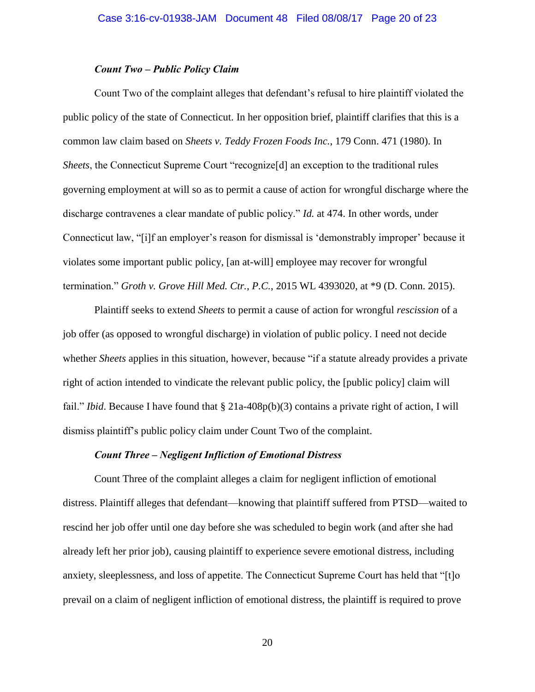# *Count Two – Public Policy Claim*

Count Two of the complaint alleges that defendant's refusal to hire plaintiff violated the public policy of the state of Connecticut. In her opposition brief, plaintiff clarifies that this is a common law claim based on *Sheets v. Teddy Frozen Foods Inc.*, 179 Conn. 471 (1980). In *Sheets*, the Connecticut Supreme Court "recognize<sup>[d]</sup> an exception to the traditional rules governing employment at will so as to permit a cause of action for wrongful discharge where the discharge contravenes a clear mandate of public policy." *Id.* at 474. In other words, under Connecticut law, "[i]f an employer's reason for dismissal is 'demonstrably improper' because it violates some important public policy, [an at-will] employee may recover for wrongful termination." *Groth v. Grove Hill Med. Ctr., P.C.*, 2015 WL 4393020, at \*9 (D. Conn. 2015).

Plaintiff seeks to extend *Sheets* to permit a cause of action for wrongful *rescission* of a job offer (as opposed to wrongful discharge) in violation of public policy. I need not decide whether *Sheets* applies in this situation, however, because "if a statute already provides a private right of action intended to vindicate the relevant public policy, the [public policy] claim will fail." *Ibid*. Because I have found that § 21a-408p(b)(3) contains a private right of action, I will dismiss plaintiff's public policy claim under Count Two of the complaint.

## *Count Three – Negligent Infliction of Emotional Distress*

Count Three of the complaint alleges a claim for negligent infliction of emotional distress. Plaintiff alleges that defendant—knowing that plaintiff suffered from PTSD—waited to rescind her job offer until one day before she was scheduled to begin work (and after she had already left her prior job), causing plaintiff to experience severe emotional distress, including anxiety, sleeplessness, and loss of appetite. The Connecticut Supreme Court has held that "[t]o prevail on a claim of negligent infliction of emotional distress, the plaintiff is required to prove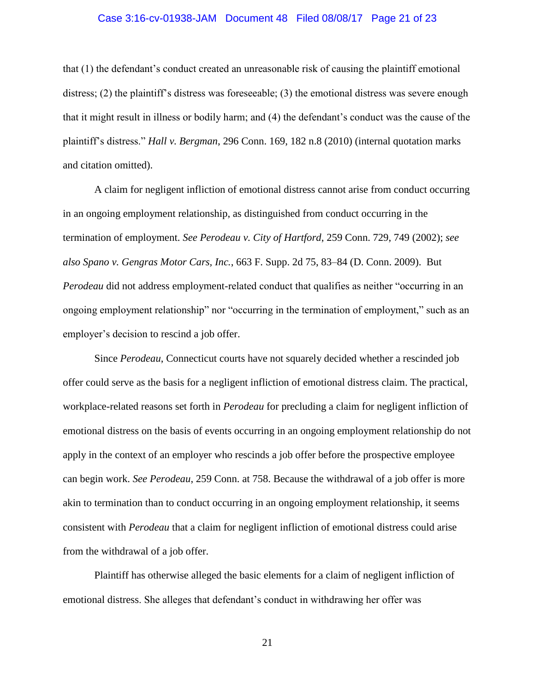#### Case 3:16-cv-01938-JAM Document 48 Filed 08/08/17 Page 21 of 23

that (1) the defendant's conduct created an unreasonable risk of causing the plaintiff emotional distress; (2) the plaintiff's distress was foreseeable; (3) the emotional distress was severe enough that it might result in illness or bodily harm; and (4) the defendant's conduct was the cause of the plaintiff's distress." *Hall v. Bergman*, 296 Conn. 169, 182 n.8 (2010) (internal quotation marks and citation omitted).

A claim for negligent infliction of emotional distress cannot arise from conduct occurring in an ongoing employment relationship, as distinguished from conduct occurring in the termination of employment. *See Perodeau v. City of Hartford*, 259 Conn. 729, 749 (2002); *see also Spano v. Gengras Motor Cars, Inc.*, 663 F. Supp. 2d 75, 83–84 (D. Conn. 2009). But *Perodeau* did not address employment-related conduct that qualifies as neither "occurring in an ongoing employment relationship" nor "occurring in the termination of employment," such as an employer's decision to rescind a job offer.

Since *Perodeau*, Connecticut courts have not squarely decided whether a rescinded job offer could serve as the basis for a negligent infliction of emotional distress claim. The practical, workplace-related reasons set forth in *Perodeau* for precluding a claim for negligent infliction of emotional distress on the basis of events occurring in an ongoing employment relationship do not apply in the context of an employer who rescinds a job offer before the prospective employee can begin work. *See Perodeau*, 259 Conn. at 758. Because the withdrawal of a job offer is more akin to termination than to conduct occurring in an ongoing employment relationship, it seems consistent with *Perodeau* that a claim for negligent infliction of emotional distress could arise from the withdrawal of a job offer.

Plaintiff has otherwise alleged the basic elements for a claim of negligent infliction of emotional distress. She alleges that defendant's conduct in withdrawing her offer was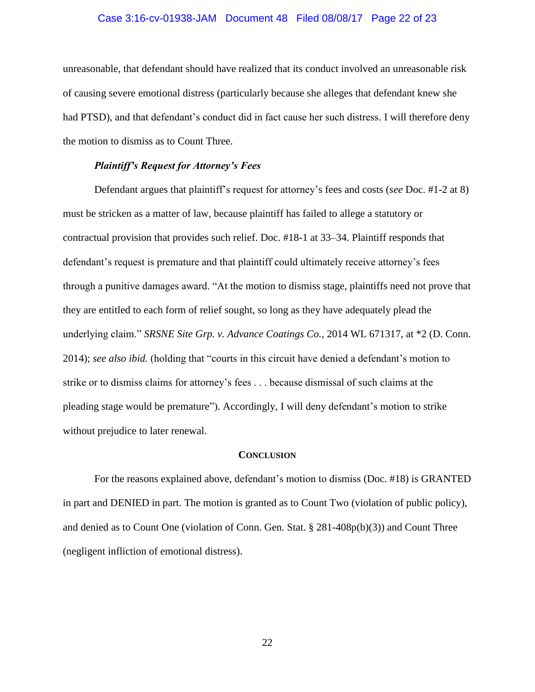#### Case 3:16-cv-01938-JAM Document 48 Filed 08/08/17 Page 22 of 23

unreasonable, that defendant should have realized that its conduct involved an unreasonable risk of causing severe emotional distress (particularly because she alleges that defendant knew she had PTSD), and that defendant's conduct did in fact cause her such distress. I will therefore deny the motion to dismiss as to Count Three.

### *Plaintiff's Request for Attorney's Fees*

Defendant argues that plaintiff's request for attorney's fees and costs (*see* Doc. #1-2 at 8) must be stricken as a matter of law, because plaintiff has failed to allege a statutory or contractual provision that provides such relief. Doc. #18-1 at 33–34. Plaintiff responds that defendant's request is premature and that plaintiff could ultimately receive attorney's fees through a punitive damages award. "At the motion to dismiss stage, plaintiffs need not prove that they are entitled to each form of relief sought, so long as they have adequately plead the underlying claim." *SRSNE Site Grp. v. Advance Coatings Co.*, 2014 WL 671317, at \*2 (D. Conn. 2014); *see also ibid.* (holding that "courts in this circuit have denied a defendant's motion to strike or to dismiss claims for attorney's fees . . . because dismissal of such claims at the pleading stage would be premature"). Accordingly, I will deny defendant's motion to strike without prejudice to later renewal.

#### **CONCLUSION**

For the reasons explained above, defendant's motion to dismiss (Doc. #18) is GRANTED in part and DENIED in part. The motion is granted as to Count Two (violation of public policy), and denied as to Count One (violation of Conn. Gen. Stat. § 281-408p(b)(3)) and Count Three (negligent infliction of emotional distress).